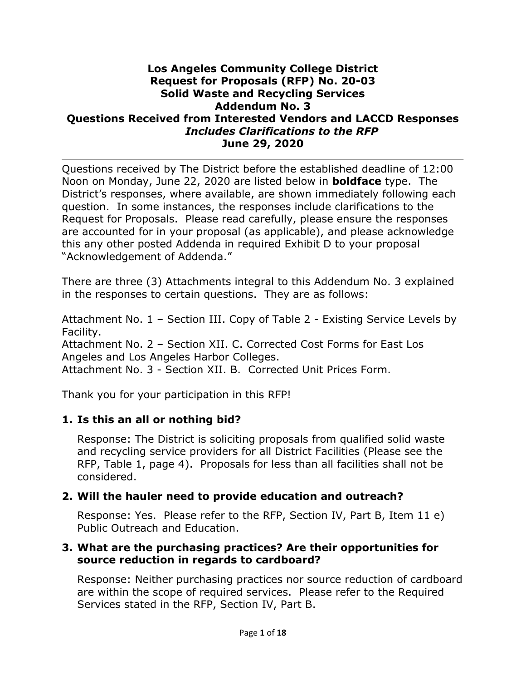#### **Los Angeles Community College District Request for Proposals (RFP) No. 20-03 Solid Waste and Recycling Services Addendum No. 3 Questions Received from Interested Vendors and LACCD Responses** *Includes Clarifications to the RFP* **June 29, 2020**

Questions received by The District before the established deadline of 12:00 Noon on Monday, June 22, 2020 are listed below in **boldface** type. The District's responses, where available, are shown immediately following each question. In some instances, the responses include clarifications to the Request for Proposals. Please read carefully, please ensure the responses are accounted for in your proposal (as applicable), and please acknowledge this any other posted Addenda in required Exhibit D to your proposal "Acknowledgement of Addenda."

There are three (3) Attachments integral to this Addendum No. 3 explained in the responses to certain questions. They are as follows:

Attachment No. 1 – Section III. Copy of Table 2 - Existing Service Levels by Facility.

Attachment No. 2 – Section XII. C. Corrected Cost Forms for East Los Angeles and Los Angeles Harbor Colleges.

Attachment No. 3 - Section XII. B. Corrected Unit Prices Form.

Thank you for your participation in this RFP!

#### **1. Is this an all or nothing bid?**

Response: The District is soliciting proposals from qualified solid waste and recycling service providers for all District Facilities (Please see the RFP, Table 1, page 4). Proposals for less than all facilities shall not be considered.

### **2. Will the hauler need to provide education and outreach?**

Response: Yes. Please refer to the RFP, Section IV, Part B, Item 11 e) Public Outreach and Education.

#### **3. What are the purchasing practices? Are their opportunities for source reduction in regards to cardboard?**

Response: Neither purchasing practices nor source reduction of cardboard are within the scope of required services. Please refer to the Required Services stated in the RFP, Section IV, Part B.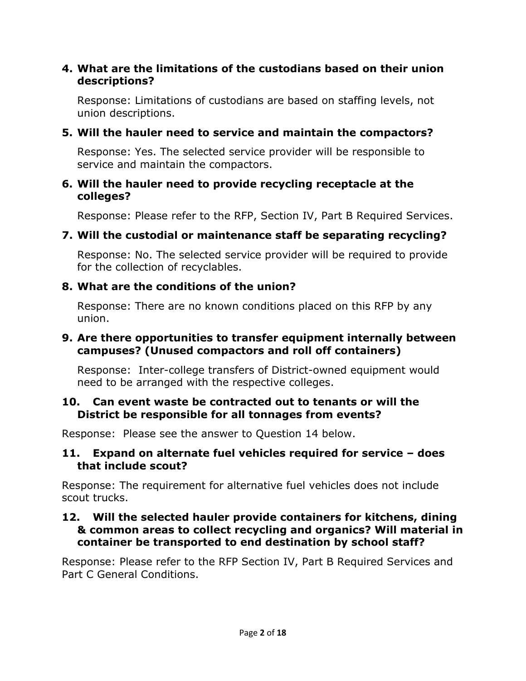### **4. What are the limitations of the custodians based on their union descriptions?**

Response: Limitations of custodians are based on staffing levels, not union descriptions.

### **5. Will the hauler need to service and maintain the compactors?**

Response: Yes. The selected service provider will be responsible to service and maintain the compactors.

#### **6. Will the hauler need to provide recycling receptacle at the colleges?**

Response: Please refer to the RFP, Section IV, Part B Required Services.

### **7. Will the custodial or maintenance staff be separating recycling?**

Response: No. The selected service provider will be required to provide for the collection of recyclables.

### **8. What are the conditions of the union?**

Response: There are no known conditions placed on this RFP by any union.

### **9. Are there opportunities to transfer equipment internally between campuses? (Unused compactors and roll off containers)**

Response: Inter-college transfers of District-owned equipment would need to be arranged with the respective colleges.

#### **10. Can event waste be contracted out to tenants or will the District be responsible for all tonnages from events?**

Response: Please see the answer to Question 14 below.

#### **11. Expand on alternate fuel vehicles required for service – does that include scout?**

Response: The requirement for alternative fuel vehicles does not include scout trucks.

#### **12. Will the selected hauler provide containers for kitchens, dining & common areas to collect recycling and organics? Will material in container be transported to end destination by school staff?**

Response: Please refer to the RFP Section IV, Part B Required Services and Part C General Conditions.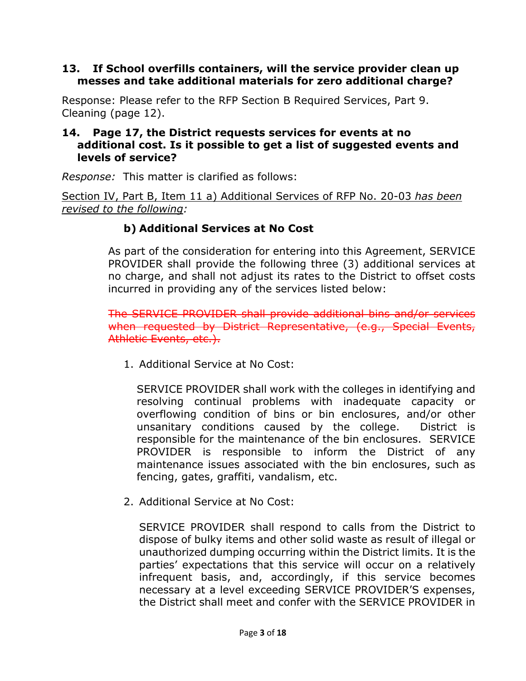#### **13. If School overfills containers, will the service provider clean up messes and take additional materials for zero additional charge?**

Response: Please refer to the RFP Section B Required Services, Part 9. Cleaning (page 12).

#### **14. Page 17, the District requests services for events at no additional cost. Is it possible to get a list of suggested events and levels of service?**

*Response:* This matter is clarified as follows:

Section IV, Part B, Item 11 a) Additional Services of RFP No. 20-03 *has been revised to the following:*

# **b) Additional Services at No Cost**

As part of the consideration for entering into this Agreement, SERVICE PROVIDER shall provide the following three (3) additional services at no charge, and shall not adjust its rates to the District to offset costs incurred in providing any of the services listed below:

The SERVICE PROVIDER shall provide additional bins and/or services when requested by District Representative, (e.g., Special Events, Athletic Events, etc.).

1. Additional Service at No Cost:

SERVICE PROVIDER shall work with the colleges in identifying and resolving continual problems with inadequate capacity or overflowing condition of bins or bin enclosures, and/or other unsanitary conditions caused by the college. District is responsible for the maintenance of the bin enclosures. SERVICE PROVIDER is responsible to inform the District of any maintenance issues associated with the bin enclosures, such as fencing, gates, graffiti, vandalism, etc.

2. Additional Service at No Cost:

SERVICE PROVIDER shall respond to calls from the District to dispose of bulky items and other solid waste as result of illegal or unauthorized dumping occurring within the District limits. It is the parties' expectations that this service will occur on a relatively infrequent basis, and, accordingly, if this service becomes necessary at a level exceeding SERVICE PROVIDER'S expenses, the District shall meet and confer with the SERVICE PROVIDER in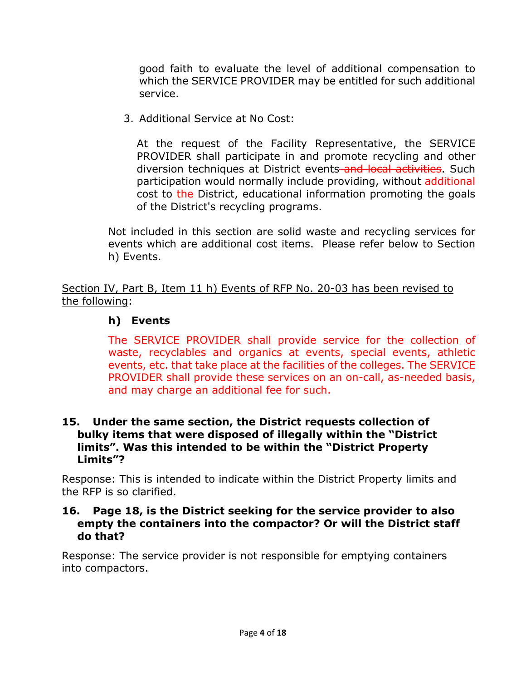good faith to evaluate the level of additional compensation to which the SERVICE PROVIDER may be entitled for such additional service.

3. Additional Service at No Cost:

At the request of the Facility Representative, the SERVICE PROVIDER shall participate in and promote recycling and other diversion techniques at District events and local activities. Such participation would normally include providing, without additional cost to the District, educational information promoting the goals of the District's recycling programs.

Not included in this section are solid waste and recycling services for events which are additional cost items. Please refer below to Section h) Events.

Section IV, Part B, Item 11 h) Events of RFP No. 20-03 has been revised to the following:

# **h) Events**

The SERVICE PROVIDER shall provide service for the collection of waste, recyclables and organics at events, special events, athletic events, etc. that take place at the facilities of the colleges. The SERVICE PROVIDER shall provide these services on an on-call, as-needed basis, and may charge an additional fee for such.

#### **15. Under the same section, the District requests collection of bulky items that were disposed of illegally within the "District limits". Was this intended to be within the "District Property Limits"?**

Response: This is intended to indicate within the District Property limits and the RFP is so clarified.

#### **16. Page 18, is the District seeking for the service provider to also empty the containers into the compactor? Or will the District staff do that?**

Response: The service provider is not responsible for emptying containers into compactors.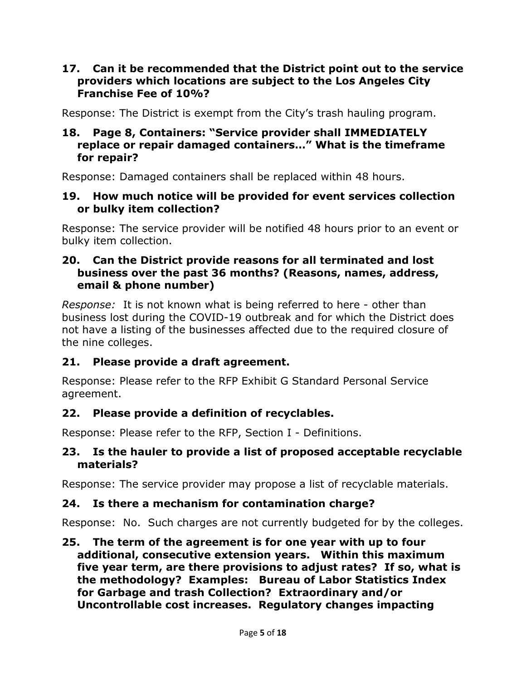#### **17. Can it be recommended that the District point out to the service providers which locations are subject to the Los Angeles City Franchise Fee of 10%?**

Response: The District is exempt from the City's trash hauling program.

#### **18. Page 8, Containers: "Service provider shall IMMEDIATELY replace or repair damaged containers…" What is the timeframe for repair?**

Response: Damaged containers shall be replaced within 48 hours.

#### **19. How much notice will be provided for event services collection or bulky item collection?**

Response: The service provider will be notified 48 hours prior to an event or bulky item collection.

#### **20. Can the District provide reasons for all terminated and lost business over the past 36 months? (Reasons, names, address, email & phone number)**

*Response:* It is not known what is being referred to here - other than business lost during the COVID-19 outbreak and for which the District does not have a listing of the businesses affected due to the required closure of the nine colleges.

# **21. Please provide a draft agreement.**

Response: Please refer to the RFP Exhibit G Standard Personal Service agreement.

# **22. Please provide a definition of recyclables.**

Response: Please refer to the RFP, Section I - Definitions.

### **23. Is the hauler to provide a list of proposed acceptable recyclable materials?**

Response: The service provider may propose a list of recyclable materials.

# **24. Is there a mechanism for contamination charge?**

Response: No. Such charges are not currently budgeted for by the colleges.

**25. The term of the agreement is for one year with up to four additional, consecutive extension years. Within this maximum five year term, are there provisions to adjust rates? If so, what is the methodology? Examples: Bureau of Labor Statistics Index for Garbage and trash Collection? Extraordinary and/or Uncontrollable cost increases. Regulatory changes impacting**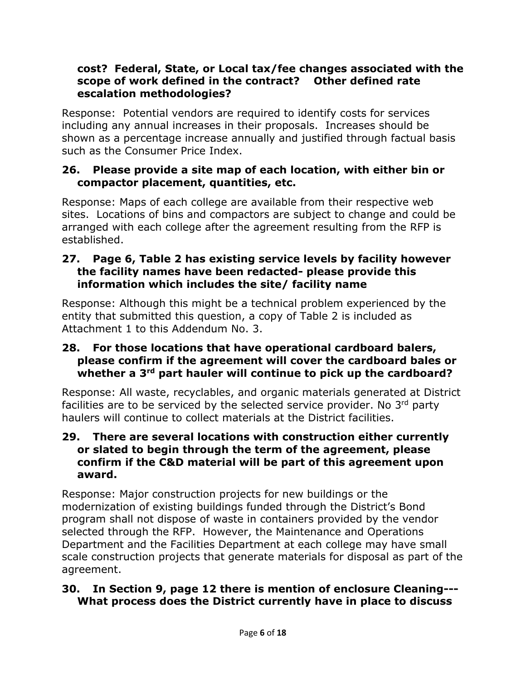### **cost? Federal, State, or Local tax/fee changes associated with the scope of work defined in the contract? Other defined rate escalation methodologies?**

Response: Potential vendors are required to identify costs for services including any annual increases in their proposals. Increases should be shown as a percentage increase annually and justified through factual basis such as the Consumer Price Index.

### **26. Please provide a site map of each location, with either bin or compactor placement, quantities, etc.**

Response: Maps of each college are available from their respective web sites. Locations of bins and compactors are subject to change and could be arranged with each college after the agreement resulting from the RFP is established.

#### **27. Page 6, Table 2 has existing service levels by facility however the facility names have been redacted- please provide this information which includes the site/ facility name**

Response: Although this might be a technical problem experienced by the entity that submitted this question, a copy of Table 2 is included as Attachment 1 to this Addendum No. 3.

#### **28. For those locations that have operational cardboard balers, please confirm if the agreement will cover the cardboard bales or whether a 3rd part hauler will continue to pick up the cardboard?**

Response: All waste, recyclables, and organic materials generated at District facilities are to be serviced by the selected service provider. No 3<sup>rd</sup> party haulers will continue to collect materials at the District facilities.

#### **29. There are several locations with construction either currently or slated to begin through the term of the agreement, please confirm if the C&D material will be part of this agreement upon award.**

Response: Major construction projects for new buildings or the modernization of existing buildings funded through the District's Bond program shall not dispose of waste in containers provided by the vendor selected through the RFP. However, the Maintenance and Operations Department and the Facilities Department at each college may have small scale construction projects that generate materials for disposal as part of the agreement.

### **30. In Section 9, page 12 there is mention of enclosure Cleaning--- What process does the District currently have in place to discuss**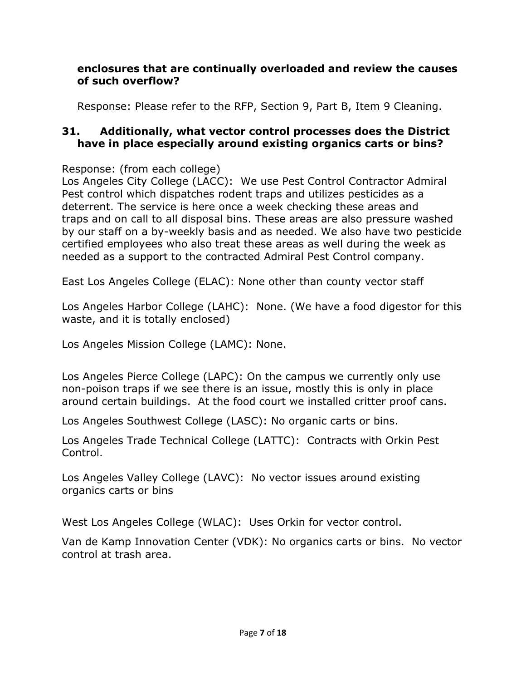### **enclosures that are continually overloaded and review the causes of such overflow?**

Response: Please refer to the RFP, Section 9, Part B, Item 9 Cleaning.

### **31. Additionally, what vector control processes does the District have in place especially around existing organics carts or bins?**

Response: (from each college)

Los Angeles City College (LACC): We use Pest Control Contractor Admiral Pest control which dispatches rodent traps and utilizes pesticides as a deterrent. The service is here once a week checking these areas and traps and on call to all disposal bins. These areas are also pressure washed by our staff on a by-weekly basis and as needed. We also have two pesticide certified employees who also treat these areas as well during the week as needed as a support to the contracted Admiral Pest Control company.

East Los Angeles College (ELAC): None other than county vector staff

Los Angeles Harbor College (LAHC): None. (We have a food digestor for this waste, and it is totally enclosed)

Los Angeles Mission College (LAMC): None.

Los Angeles Pierce College (LAPC): On the campus we currently only use non-poison traps if we see there is an issue, mostly this is only in place around certain buildings. At the food court we installed critter proof cans.

Los Angeles Southwest College (LASC): No organic carts or bins.

Los Angeles Trade Technical College (LATTC): Contracts with Orkin Pest Control.

Los Angeles Valley College (LAVC): No vector issues around existing organics carts or bins

West Los Angeles College (WLAC): Uses Orkin for vector control.

Van de Kamp Innovation Center (VDK): No organics carts or bins. No vector control at trash area.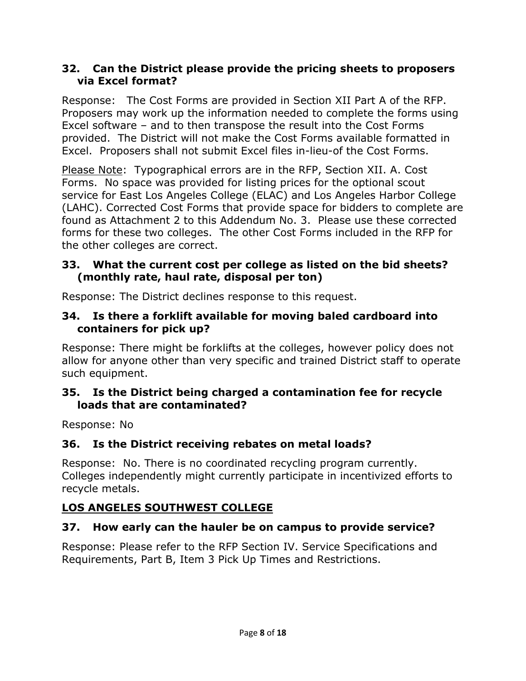### **32. Can the District please provide the pricing sheets to proposers via Excel format?**

Response: The Cost Forms are provided in Section XII Part A of the RFP. Proposers may work up the information needed to complete the forms using Excel software – and to then transpose the result into the Cost Forms provided. The District will not make the Cost Forms available formatted in Excel. Proposers shall not submit Excel files in-lieu-of the Cost Forms.

Please Note: Typographical errors are in the RFP, Section XII. A. Cost Forms. No space was provided for listing prices for the optional scout service for East Los Angeles College (ELAC) and Los Angeles Harbor College (LAHC). Corrected Cost Forms that provide space for bidders to complete are found as Attachment 2 to this Addendum No. 3. Please use these corrected forms for these two colleges. The other Cost Forms included in the RFP for the other colleges are correct.

### **33. What the current cost per college as listed on the bid sheets? (monthly rate, haul rate, disposal per ton)**

Response: The District declines response to this request.

### **34. Is there a forklift available for moving baled cardboard into containers for pick up?**

Response: There might be forklifts at the colleges, however policy does not allow for anyone other than very specific and trained District staff to operate such equipment.

### **35. Is the District being charged a contamination fee for recycle loads that are contaminated?**

Response: No

# **36. Is the District receiving rebates on metal loads?**

Response: No. There is no coordinated recycling program currently. Colleges independently might currently participate in incentivized efforts to recycle metals.

# **LOS ANGELES SOUTHWEST COLLEGE**

# **37. How early can the hauler be on campus to provide service?**

Response: Please refer to the RFP Section IV. Service Specifications and Requirements, Part B, Item 3 Pick Up Times and Restrictions.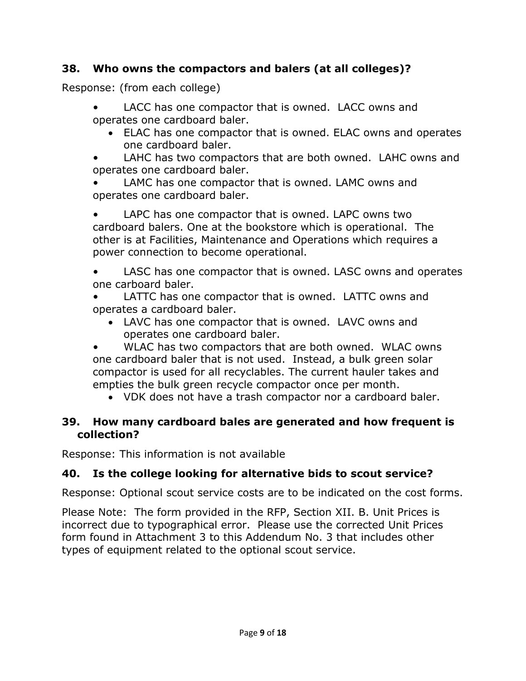# **38. Who owns the compactors and balers (at all colleges)?**

Response: (from each college)

- LACC has one compactor that is owned. LACC owns and operates one cardboard baler.
	- ELAC has one compactor that is owned. ELAC owns and operates one cardboard baler.
- LAHC has two compactors that are both owned. LAHC owns and operates one cardboard baler.
- LAMC has one compactor that is owned. LAMC owns and operates one cardboard baler.

LAPC has one compactor that is owned. LAPC owns two cardboard balers. One at the bookstore which is operational. The other is at Facilities, Maintenance and Operations which requires a power connection to become operational.

LASC has one compactor that is owned. LASC owns and operates one carboard baler.

LATTC has one compactor that is owned. LATTC owns and operates a cardboard baler.

• LAVC has one compactor that is owned. LAVC owns and operates one cardboard baler.

WLAC has two compactors that are both owned. WLAC owns one cardboard baler that is not used. Instead, a bulk green solar compactor is used for all recyclables. The current hauler takes and empties the bulk green recycle compactor once per month.

• VDK does not have a trash compactor nor a cardboard baler.

### **39. How many cardboard bales are generated and how frequent is collection?**

Response: This information is not available

# **40. Is the college looking for alternative bids to scout service?**

Response: Optional scout service costs are to be indicated on the cost forms.

Please Note: The form provided in the RFP, Section XII. B. Unit Prices is incorrect due to typographical error. Please use the corrected Unit Prices form found in Attachment 3 to this Addendum No. 3 that includes other types of equipment related to the optional scout service.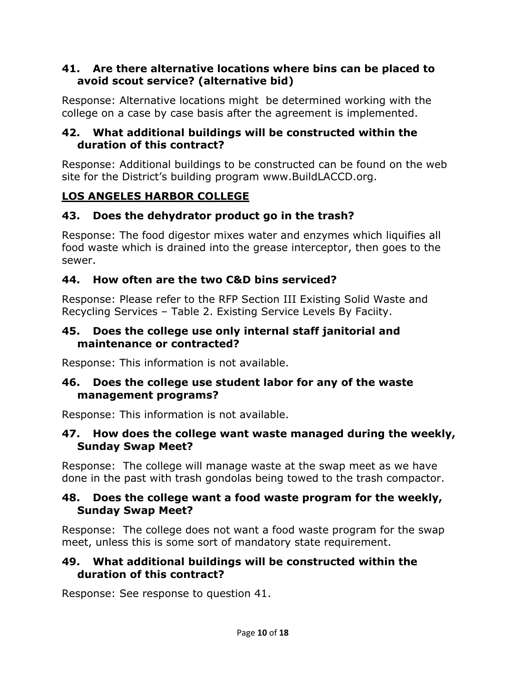### **41. Are there alternative locations where bins can be placed to avoid scout service? (alternative bid)**

Response: Alternative locations might be determined working with the college on a case by case basis after the agreement is implemented.

### **42. What additional buildings will be constructed within the duration of this contract?**

Response: Additional buildings to be constructed can be found on the web site for the District's building program www.BuildLACCD.org.

# **LOS ANGELES HARBOR COLLEGE**

# **43. Does the dehydrator product go in the trash?**

Response: The food digestor mixes water and enzymes which liquifies all food waste which is drained into the grease interceptor, then goes to the sewer.

### **44. How often are the two C&D bins serviced?**

Response: Please refer to the RFP Section III Existing Solid Waste and Recycling Services – Table 2. Existing Service Levels By Faciity.

#### **45. Does the college use only internal staff janitorial and maintenance or contracted?**

Response: This information is not available.

#### **46. Does the college use student labor for any of the waste management programs?**

Response: This information is not available.

### **47. How does the college want waste managed during the weekly, Sunday Swap Meet?**

Response: The college will manage waste at the swap meet as we have done in the past with trash gondolas being towed to the trash compactor.

#### **48. Does the college want a food waste program for the weekly, Sunday Swap Meet?**

Response: The college does not want a food waste program for the swap meet, unless this is some sort of mandatory state requirement.

### **49. What additional buildings will be constructed within the duration of this contract?**

Response: See response to question 41.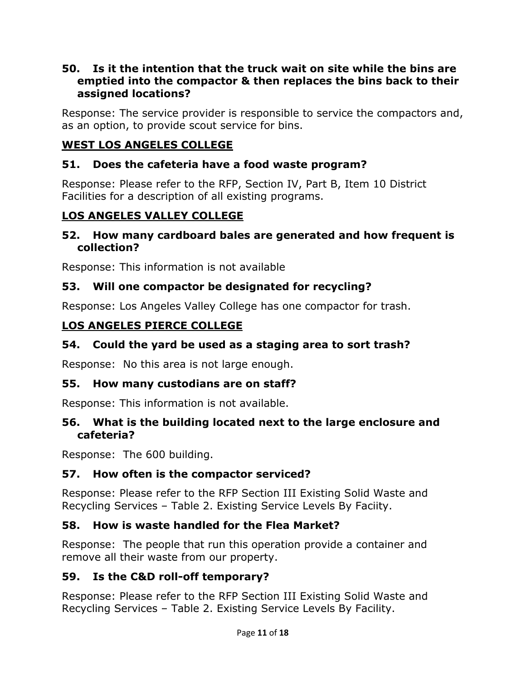#### **50. Is it the intention that the truck wait on site while the bins are emptied into the compactor & then replaces the bins back to their assigned locations?**

Response: The service provider is responsible to service the compactors and, as an option, to provide scout service for bins.

### **WEST LOS ANGELES COLLEGE**

### **51. Does the cafeteria have a food waste program?**

Response: Please refer to the RFP, Section IV, Part B, Item 10 District Facilities for a description of all existing programs.

### **LOS ANGELES VALLEY COLLEGE**

#### **52. How many cardboard bales are generated and how frequent is collection?**

Response: This information is not available

#### **53. Will one compactor be designated for recycling?**

Response: Los Angeles Valley College has one compactor for trash.

### **LOS ANGELES PIERCE COLLEGE**

### **54. Could the yard be used as a staging area to sort trash?**

Response: No this area is not large enough.

#### **55. How many custodians are on staff?**

Response: This information is not available.

#### **56. What is the building located next to the large enclosure and cafeteria?**

Response: The 600 building.

### **57. How often is the compactor serviced?**

Response: Please refer to the RFP Section III Existing Solid Waste and Recycling Services – Table 2. Existing Service Levels By Faciity.

### **58. How is waste handled for the Flea Market?**

Response: The people that run this operation provide a container and remove all their waste from our property.

#### **59. Is the C&D roll-off temporary?**

Response: Please refer to the RFP Section III Existing Solid Waste and Recycling Services – Table 2. Existing Service Levels By Facility.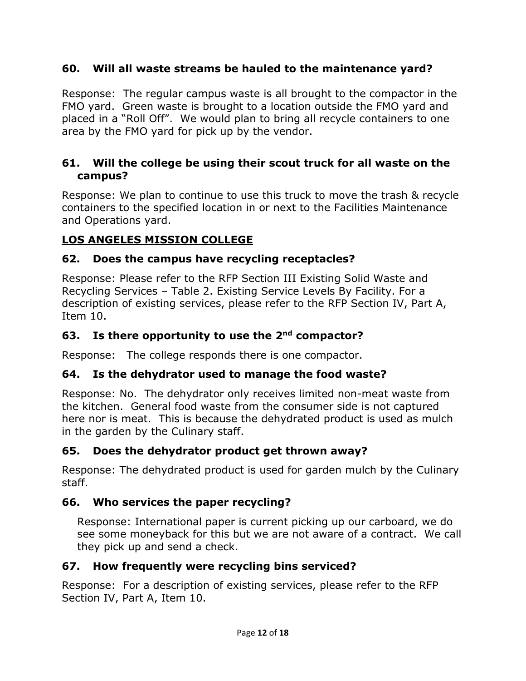### **60. Will all waste streams be hauled to the maintenance yard?**

Response: The regular campus waste is all brought to the compactor in the FMO yard. Green waste is brought to a location outside the FMO yard and placed in a "Roll Off". We would plan to bring all recycle containers to one area by the FMO yard for pick up by the vendor.

### **61. Will the college be using their scout truck for all waste on the campus?**

Response: We plan to continue to use this truck to move the trash & recycle containers to the specified location in or next to the Facilities Maintenance and Operations yard.

### **LOS ANGELES MISSION COLLEGE**

### **62. Does the campus have recycling receptacles?**

Response: Please refer to the RFP Section III Existing Solid Waste and Recycling Services – Table 2. Existing Service Levels By Facility. For a description of existing services, please refer to the RFP Section IV, Part A, Item 10.

### **63. Is there opportunity to use the 2nd compactor?**

Response: The college responds there is one compactor.

### **64. Is the dehydrator used to manage the food waste?**

Response: No. The dehydrator only receives limited non-meat waste from the kitchen. General food waste from the consumer side is not captured here nor is meat. This is because the dehydrated product is used as mulch in the garden by the Culinary staff.

### **65. Does the dehydrator product get thrown away?**

Response: The dehydrated product is used for garden mulch by the Culinary staff.

# **66. Who services the paper recycling?**

Response: International paper is current picking up our carboard, we do see some moneyback for this but we are not aware of a contract. We call they pick up and send a check.

# **67. How frequently were recycling bins serviced?**

Response: For a description of existing services, please refer to the RFP Section IV, Part A, Item 10.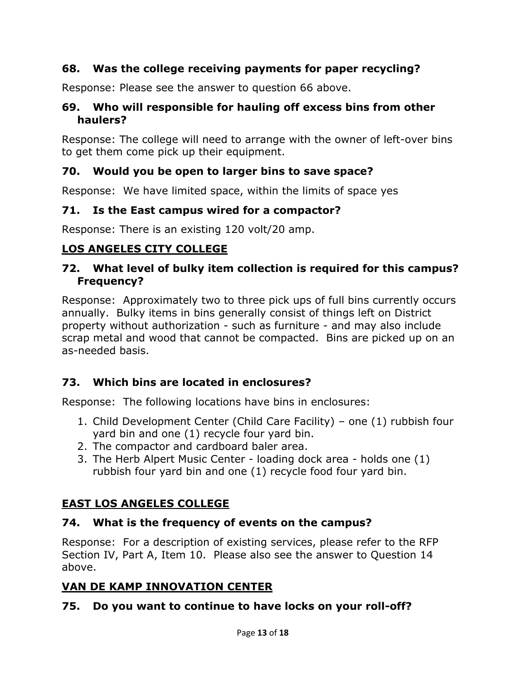### **68. Was the college receiving payments for paper recycling?**

Response: Please see the answer to question 66 above.

### **69. Who will responsible for hauling off excess bins from other haulers?**

Response: The college will need to arrange with the owner of left-over bins to get them come pick up their equipment.

# **70. Would you be open to larger bins to save space?**

Response: We have limited space, within the limits of space yes

### **71. Is the East campus wired for a compactor?**

Response: There is an existing 120 volt/20 amp.

# **LOS ANGELES CITY COLLEGE**

### **72. What level of bulky item collection is required for this campus? Frequency?**

Response: Approximately two to three pick ups of full bins currently occurs annually. Bulky items in bins generally consist of things left on District property without authorization - such as furniture - and may also include scrap metal and wood that cannot be compacted. Bins are picked up on an as-needed basis.

# **73. Which bins are located in enclosures?**

Response: The following locations have bins in enclosures:

- 1. Child Development Center (Child Care Facility) one (1) rubbish four yard bin and one (1) recycle four yard bin.
- 2. The compactor and cardboard baler area.
- 3. The Herb Alpert Music Center loading dock area holds one (1) rubbish four yard bin and one (1) recycle food four yard bin.

# **EAST LOS ANGELES COLLEGE**

### **74. What is the frequency of events on the campus?**

Response: For a description of existing services, please refer to the RFP Section IV, Part A, Item 10. Please also see the answer to Question 14 above.

# **VAN DE KAMP INNOVATION CENTER**

# **75. Do you want to continue to have locks on your roll-off?**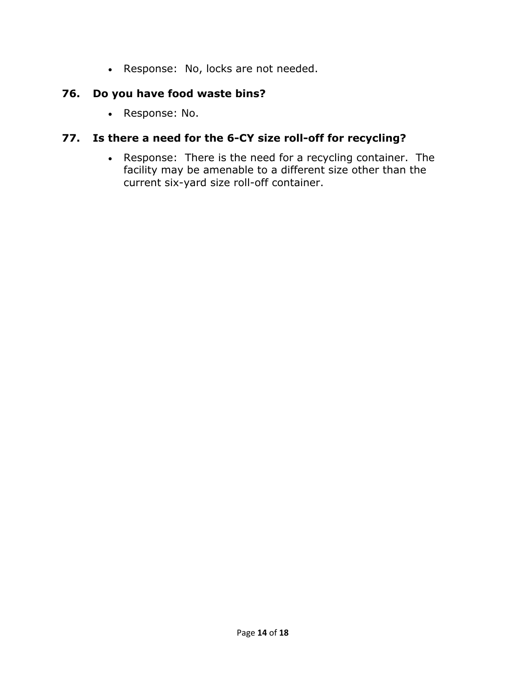• Response: No, locks are not needed.

### **76. Do you have food waste bins?**

• Response: No.

# **77. Is there a need for the 6-CY size roll-off for recycling?**

• Response: There is the need for a recycling container. The facility may be amenable to a different size other than the current six-yard size roll-off container.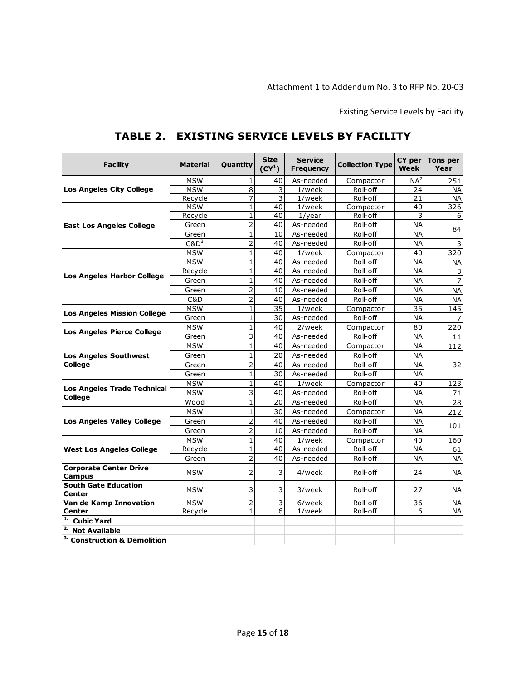Existing Service Levels by Facility

| <b>Facility</b>                                | <b>Material</b> | Quantity       | <b>Size</b><br>$(CY^1)$ | <b>Service</b><br><b>Frequency</b> | <b>Collection Type</b> | CY per<br><b>Week</b> | Tons per<br>Year |
|------------------------------------------------|-----------------|----------------|-------------------------|------------------------------------|------------------------|-----------------------|------------------|
|                                                | <b>MSW</b>      | 1              | 40                      | As-needed                          | Compactor              | NA <sup>2</sup>       | 251              |
| Los Angeles City College                       | <b>MSW</b>      | 8              | 3                       | $1$ /week                          | Roll-off               | 24                    | <b>NA</b>        |
|                                                | Recycle         | 7              | 3                       | $1$ /week                          | Roll-off               | 21                    | <b>NA</b>        |
|                                                | <b>MSW</b>      | $\mathbf{1}$   | 40                      | $1$ /week                          | Compactor              | 40                    | 326              |
|                                                | Recycle         | $\mathbf{1}$   | 40                      | $1$ /year                          | Roll-off               | 3                     | 6                |
| <b>East Los Angeles College</b>                | Green           | 2              | 40                      | As-needed                          | Roll-off               | <b>NA</b>             | 84               |
|                                                | Green           | $\mathbf{1}$   | 10                      | As-needed                          | Roll-off               | <b>NA</b>             |                  |
|                                                | $C&D^3$         | 2              | 40                      | As-needed                          | Roll-off               | <b>NA</b>             | $\overline{3}$   |
|                                                | <b>MSW</b>      | $\mathbf{1}$   | 40                      | $1$ /week                          | Compactor              | 40                    | 320              |
|                                                | <b>MSW</b>      | $\mathbf{1}$   | 40                      | As-needed                          | Roll-off               | <b>NA</b>             | <b>NA</b>        |
| Los Angeles Harbor College                     | Recycle         | $\mathbf{1}$   | 40                      | As-needed                          | Roll-off               | <b>NA</b>             | $\mathsf 3$      |
|                                                | Green           | $\mathbf{1}$   | 40                      | As-needed                          | Roll-off               | <b>NA</b>             | $\overline{7}$   |
|                                                | Green           | $\overline{2}$ | 10                      | As-needed                          | Roll-off               | <b>NA</b>             | <b>NA</b>        |
|                                                | C&D             | $\overline{2}$ | 40                      | As-needed                          | Roll-off               | <b>NA</b>             | <b>NA</b>        |
|                                                | <b>MSW</b>      | $\mathbf{1}$   | 35                      | $1$ /week                          | Compactor              | $\overline{35}$       | 145              |
| <b>Los Angeles Mission College</b>             | Green           | 1              | 30                      | As-needed                          | Roll-off               | <b>NA</b>             | 7                |
|                                                | <b>MSW</b>      | $\mathbf{1}$   | 40                      | 2/week                             | Compactor              | 80                    | 220              |
| <b>Los Angeles Pierce College</b>              | Green           | 3              | 40                      | As-needed                          | Roll-off               | <b>NA</b>             | 11               |
|                                                | <b>MSW</b>      | $\mathbf{1}$   | 40                      | As-needed                          | Compactor              | <b>NA</b>             | 112              |
| <b>Los Angeles Southwest</b>                   | Green           | $\mathbf{1}$   | 20                      | As-needed                          | Roll-off               | <b>NA</b>             |                  |
| <b>College</b>                                 | Green           | $\overline{2}$ | 40                      | As-needed                          | Roll-off               | <b>NA</b>             | 32               |
|                                                | Green           | $\mathbf{1}$   | 30                      | As-needed                          | Roll-off               | <b>NA</b>             |                  |
|                                                | <b>MSW</b>      | $\mathbf{1}$   | 40                      | $1$ /week                          | Compactor              | 40                    | 123              |
| <b>Los Angeles Trade Technical</b>             | <b>MSW</b>      | 3              | 40                      | As-needed                          | Roll-off               | <b>NA</b>             | 71               |
| <b>College</b>                                 | Wood            | $\mathbf{1}$   | 20                      | As-needed                          | Roll-off               | <b>NA</b>             | 28               |
|                                                | <b>MSW</b>      | $\mathbf{1}$   | 30                      | As-needed                          | Compactor              | <b>NA</b>             | 212              |
| <b>Los Angeles Valley College</b>              | Green           | $\overline{2}$ | 40                      | As-needed                          | Roll-off               | <b>NA</b>             | 101              |
|                                                | Green           | $\overline{2}$ | 10                      | As-needed                          | Roll-off               | <b>NA</b>             |                  |
|                                                | <b>MSW</b>      | $\mathbf{1}$   | 40                      | 1/week                             | Compactor              | 40                    | 160              |
| <b>West Los Angeles College</b>                | Recycle         | 1              | 40                      | As-needed                          | Roll-off               | <b>NA</b>             | 61               |
|                                                | Green           | $\overline{2}$ | 40                      | As-needed                          | Roll-off               | <b>NA</b>             | <b>NA</b>        |
| <b>Corporate Center Drive</b><br><b>Campus</b> | <b>MSW</b>      | $\overline{2}$ | 3                       | 4/week                             | Roll-off               | 24                    | <b>NA</b>        |
| <b>South Gate Education</b><br><b>Center</b>   | <b>MSW</b>      | 3              | 3                       | 3/week                             | Roll-off               | 27                    | <b>NA</b>        |
| Van de Kamp Innovation                         | <b>MSW</b>      | $\overline{2}$ | 3                       | 6/week                             | Roll-off               | 36                    | NА               |
| <b>Center</b>                                  | Recycle         | $\mathbf{1}$   | 6                       | $1$ /week                          | Roll-off               | 6                     | <b>NA</b>        |
| 1.<br><b>Cubic Yard</b>                        |                 |                |                         |                                    |                        |                       |                  |
| <sup>2.</sup> Not Available                    |                 |                |                         |                                    |                        |                       |                  |
| <sup>3.</sup> Construction & Demolition        |                 |                |                         |                                    |                        |                       |                  |

# **TABLE 2. EXISTING SERVICE LEVELS BY FACILITY**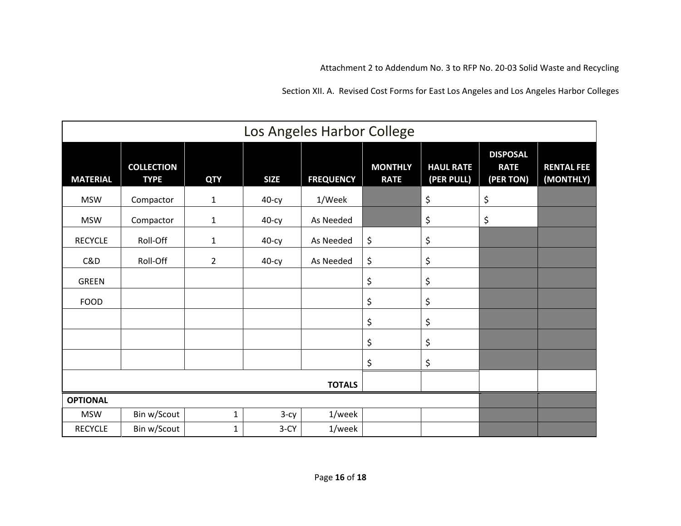Attachment 2 to Addendum No. 3 to RFP No. 20-03 Solid Waste and Recycling

Section XII. A. Revised Cost Forms for East Los Angeles and Los Angeles Harbor Colleges

| Los Angeles Harbor College |                                  |                |             |                  |                               |                                |                                             |                                |
|----------------------------|----------------------------------|----------------|-------------|------------------|-------------------------------|--------------------------------|---------------------------------------------|--------------------------------|
| <b>MATERIAL</b>            | <b>COLLECTION</b><br><b>TYPE</b> | <b>QTY</b>     | <b>SIZE</b> | <b>FREQUENCY</b> | <b>MONTHLY</b><br><b>RATE</b> | <b>HAUL RATE</b><br>(PER PULL) | <b>DISPOSAL</b><br><b>RATE</b><br>(PER TON) | <b>RENTAL FEE</b><br>(MONTHLY) |
| <b>MSW</b>                 | Compactor                        | $\mathbf{1}$   | $40-cy$     | 1/Week           |                               | \$                             | \$                                          |                                |
| <b>MSW</b>                 | Compactor                        | $\mathbf{1}$   | 40-су       | As Needed        |                               | \$                             | \$                                          |                                |
| <b>RECYCLE</b>             | Roll-Off                         | $\mathbf{1}$   | $40-cy$     | As Needed        | \$                            | \$                             |                                             |                                |
| C&D                        | Roll-Off                         | $\overline{2}$ | $40-cy$     | As Needed        | \$                            | \$                             |                                             |                                |
| <b>GREEN</b>               |                                  |                |             |                  | \$                            | \$                             |                                             |                                |
| <b>FOOD</b>                |                                  |                |             |                  | \$                            | \$                             |                                             |                                |
|                            |                                  |                |             |                  | \$                            | \$                             |                                             |                                |
|                            |                                  |                |             |                  | \$                            | \$                             |                                             |                                |
|                            |                                  |                |             |                  | \$                            | \$                             |                                             |                                |
| <b>TOTALS</b>              |                                  |                |             |                  |                               |                                |                                             |                                |
| <b>OPTIONAL</b>            |                                  |                |             |                  |                               |                                |                                             |                                |
| <b>MSW</b>                 | Bin w/Scout                      | $\mathbf{1}$   | $3-cy$      | 1/week           |                               |                                |                                             |                                |
| <b>RECYCLE</b>             | Bin w/Scout                      | $\mathbf{1}$   | $3-CY$      | 1/week           |                               |                                |                                             |                                |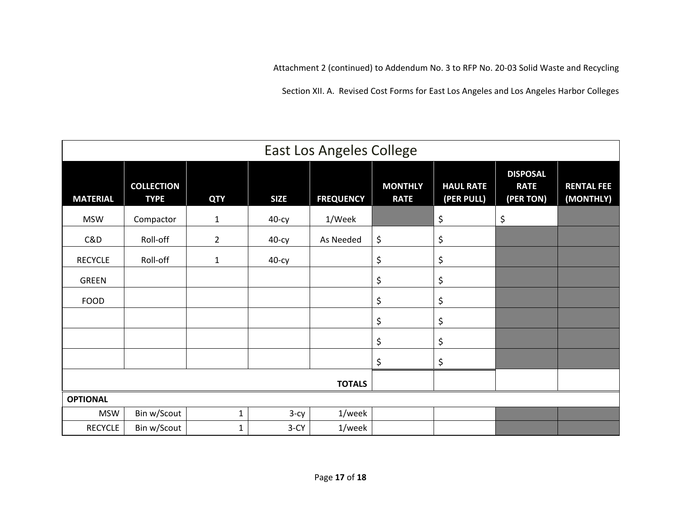Attachment 2 (continued) to Addendum No. 3 to RFP No. 20-03 Solid Waste and Recycling

Section XII. A. Revised Cost Forms for East Los Angeles and Los Angeles Harbor Colleges

| <b>East Los Angeles College</b> |                                  |                |             |                  |                               |                                |                                             |                                |
|---------------------------------|----------------------------------|----------------|-------------|------------------|-------------------------------|--------------------------------|---------------------------------------------|--------------------------------|
| <b>MATERIAL</b>                 | <b>COLLECTION</b><br><b>TYPE</b> | <b>QTY</b>     | <b>SIZE</b> | <b>FREQUENCY</b> | <b>MONTHLY</b><br><b>RATE</b> | <b>HAUL RATE</b><br>(PER PULL) | <b>DISPOSAL</b><br><b>RATE</b><br>(PER TON) | <b>RENTAL FEE</b><br>(MONTHLY) |
| <b>MSW</b>                      | Compactor                        | $\mathbf{1}$   | 40-су       | 1/Week           |                               | \$                             | \$                                          |                                |
| C&D                             | Roll-off                         | $\overline{2}$ | $40-cy$     | As Needed        | \$                            | \$                             |                                             |                                |
| <b>RECYCLE</b>                  | Roll-off                         | $\mathbf{1}$   | $40-cy$     |                  | \$                            | \$                             |                                             |                                |
| <b>GREEN</b>                    |                                  |                |             |                  | \$                            | \$                             |                                             |                                |
| <b>FOOD</b>                     |                                  |                |             |                  | \$                            | \$                             |                                             |                                |
|                                 |                                  |                |             |                  | \$                            | \$                             |                                             |                                |
|                                 |                                  |                |             |                  | \$                            | \$                             |                                             |                                |
|                                 |                                  |                |             |                  | \$                            | \$                             |                                             |                                |
| <b>TOTALS</b>                   |                                  |                |             |                  |                               |                                |                                             |                                |
| <b>OPTIONAL</b>                 |                                  |                |             |                  |                               |                                |                                             |                                |
| <b>MSW</b>                      | Bin w/Scout                      | $\mathbf{1}$   | $3-cy$      | 1/week           |                               |                                |                                             |                                |
| <b>RECYCLE</b>                  | Bin w/Scout                      | $\mathbf{1}$   | $3-CY$      | 1/week           |                               |                                |                                             |                                |